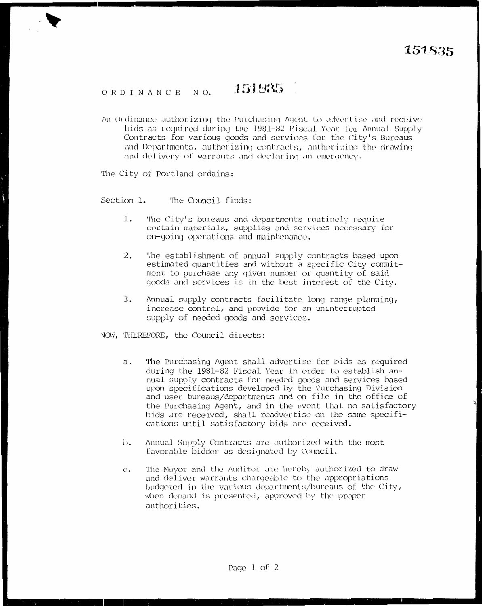## 151835 ORDINANCE NO.

An Ordinance authorizing the Punchasing Agent to advertise and receive bids as required during the 1981-82 Fiscal Year for Annual Supply Contracts for various goods and services for the City's Bureaus and Departments, authorizing contracts, authorizing the drawing and delivery of warrants and declaring an emergency.

The City of Portland ordains:

Section 1. The Council finds:

- $l.$ The City's bureaus and departments routinely require certain materials, supplies and services necessary for on-going operations and maintenance.
- $2.$ The establishment of annual supply contracts based upon estimated quantities and without a specific City commitment to purchase any given number or quantity of said goods and services is in the best interest of the City.
- Annual supply contracts facilitate long range planning, 3. increase control, and provide for an uninterrupted supply of needed goods and services.
- NOW, THEREFORE, the Council directs:
	- The Purchasing Agent shall advertise for bids as required а. during the 1981-82 Fiscal Year in order to establish annual supply contracts for needed goods and services based upon specifications developed by the Purchasing Division and user bureaus/departments and on file in the office of the Purchasing Agent, and in the event that no satisfactory bids are received, shall readvertise on the same specifications until satisfactory bids are received.
	- Annual Supply Contracts are authorized with the most  $\mathbf{b}$ . favorable bidder as designated by Council.
	- The Mayor and the Auditor are hereby authorized to draw  $C_{\bullet}$ and deliver warrants chargeable to the appropriations budgeted in the various departments/bureaus of the City, when demand is presented, approved by the proper authorities.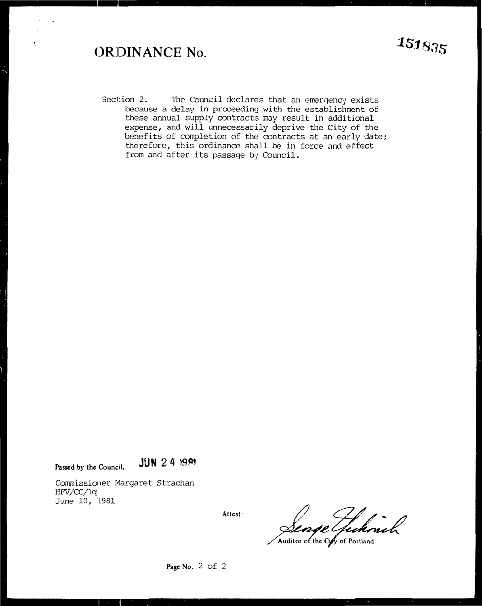## **<)RJDINANCE No.**

ł,

Section 2. The Council declares that an emergency exists because a delay in proceeding with the establishment of these annual supply contracts may result in additional expense, and will unnecessarily deprive the City of the benefits of completion of the contracts at an early date; therefore, this ordinance shall be in force and effect from and after its passage by Council.

**Passed by the Council, JUN 24 1981** 

Commissioner Margaret Strachan HFV/CC/lq June 10, 1981

**Attest:** 

Senge Tuckmal

**Page No.** 2 of 2

**1s1sas**